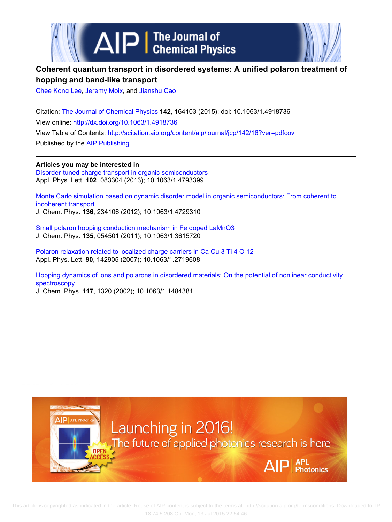



# **Coherent quantum transport in disordered systems: A unified polaron treatment of hopping and band-like transport**

[Chee Kong Lee,](http://scitation.aip.org/search?value1=Chee+Kong+Lee&option1=author) [Jeremy Moix](http://scitation.aip.org/search?value1=Jeremy+Moix&option1=author), and [Jianshu Cao](http://scitation.aip.org/search?value1=Jianshu+Cao&option1=author)

Citation: [The Journal of Chemical Physics](http://scitation.aip.org/content/aip/journal/jcp?ver=pdfcov) **142**, 164103 (2015); doi: 10.1063/1.4918736 View online: <http://dx.doi.org/10.1063/1.4918736> View Table of Contents:<http://scitation.aip.org/content/aip/journal/jcp/142/16?ver=pdfcov> Published by the [AIP Publishing](http://scitation.aip.org/content/aip?ver=pdfcov)

**Articles you may be interested in** [Disorder-tuned charge transport in organic semiconductors](http://scitation.aip.org/content/aip/journal/apl/102/8/10.1063/1.4793399?ver=pdfcov) Appl. Phys. Lett. **102**, 083304 (2013); 10.1063/1.4793399

[Monte Carlo simulation based on dynamic disorder model in organic semiconductors: From coherent to](http://scitation.aip.org/content/aip/journal/jcp/136/23/10.1063/1.4729310?ver=pdfcov) [incoherent transport](http://scitation.aip.org/content/aip/journal/jcp/136/23/10.1063/1.4729310?ver=pdfcov) J. Chem. Phys. **136**, 234106 (2012); 10.1063/1.4729310

[Small polaron hopping conduction mechanism in Fe doped LaMnO3](http://scitation.aip.org/content/aip/journal/jcp/135/5/10.1063/1.3615720?ver=pdfcov) J. Chem. Phys. **135**, 054501 (2011); 10.1063/1.3615720

[Polaron relaxation related to localized charge carriers in Ca Cu 3 Ti 4 O 12](http://scitation.aip.org/content/aip/journal/apl/90/14/10.1063/1.2719608?ver=pdfcov) Appl. Phys. Lett. **90**, 142905 (2007); 10.1063/1.2719608

[Hopping dynamics of ions and polarons in disordered materials: On the potential of nonlinear conductivity](http://scitation.aip.org/content/aip/journal/jcp/117/3/10.1063/1.1484381?ver=pdfcov) [spectroscopy](http://scitation.aip.org/content/aip/journal/jcp/117/3/10.1063/1.1484381?ver=pdfcov)

J. Chem. Phys. **117**, 1320 (2002); 10.1063/1.1484381



 This article is copyrighted as indicated in the article. Reuse of AIP content is subject to the terms at: http://scitation.aip.org/termsconditions. Downloaded to IP: 18.74.5.208 On: Mon, 13 Jul 2015 22:54:46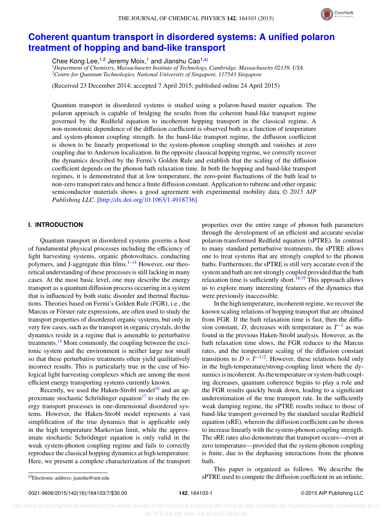

## **[Coherent quantum transport in disordered systems: A unified polaron](http://dx.doi.org/10.1063/1.4918736) [treatment of hopping and band-like transport](http://dx.doi.org/10.1063/1.4918736)**

Chee Kong Lee,<sup>1,2</sup> Jeremy Moix,<sup>1</sup> and Jianshu Cao<sup>1[,a\)](#page-1-0)</sup>

<sup>1</sup>*Department of Chemistry, Massachusetts Institute of Technology, Cambridge, Massachusetts 02139, USA* <sup>2</sup>*Centre for Quantum Technologies, National University of Singapore, 117543 Singapore*

(Received 23 December 2014; accepted 7 April 2015; published online 24 April 2015)

Quantum transport in disordered systems is studied using a polaron-based master equation. The polaron approach is capable of bridging the results from the coherent band-like transport regime governed by the Redfield equation to incoherent hopping transport in the classical regime. A non-monotonic dependence of the diffusion coefficient is observed both as a function of temperature and system-phonon coupling strength. In the band-like transport regime, the diffusion coefficient is shown to be linearly proportional to the system-phonon coupling strength and vanishes at zero coupling due to Anderson localization. In the opposite classical hopping regime, we correctly recover the dynamics described by the Fermi's Golden Rule and establish that the scaling of the diffusion coefficient depends on the phonon bath relaxation time. In both the hopping and band-like transport regimes, it is demonstrated that at low temperature, the zero-point fluctuations of the bath lead to non-zero transport rates and hence a finite diffusion constant. Application to rubrene and other organic semiconductor materials shows a good agreement with experimental mobility data. © 2015 AIP *Publishing LLC.* [\[http:](http://dx.doi.org/10.1063/1.4918736)//[dx.doi.org](http://dx.doi.org/10.1063/1.4918736)/[10.1063](http://dx.doi.org/10.1063/1.4918736)/[1.4918736\]](http://dx.doi.org/10.1063/1.4918736)

### **I. INTRODUCTION**

Quantum transport in disordered systems governs a host of fundamental physical processes including the efficiency of light harvesting systems, organic photovoltaics, conducting polymers, and J-aggregate thin films. $1-14$  $1-14$  However, our theoretical understanding of these processes is still lacking in many cases. At the most basic level, one may describe the energy transport as a quantum diffusion process occurring in a system that is influenced by both static disorder and thermal fluctuations. Theories based on Fermi's Golden Rule (FGR), i.e., the Marcus or Förster rate expressions, are often used to study the transport properties of disordered organic systems, but only in very few cases, such as the transport in organic crystals, do the dynamics reside in a regime that is amenable to perturbative treatments.<sup>[15](#page-7-2)</sup> More commonly, the coupling between the excitonic system and the environment is neither large nor small so that these perturbative treatments often yield qualitatively incorrect results. This is particularly true in the case of biological light harvesting complexes which are among the most efficient energy transporting systems currently known.

Recently, we used the Haken-Strobl model<sup>[16](#page-7-3)</sup> and an ap-proximate stochastic Schrödinger equation<sup>[17](#page-7-4)</sup> to study the energy transport processes in one-dimensional disordered systems. However, the Haken-Strobl model represents a vast simplification of the true dynamics that is applicable only in the high temperature Markovian limit, while the approximate stochastic Schrödinger equation is only valid in the weak system-phonon coupling regime and fails to correctly reproduce the classical hopping dynamics at high temperature. Here, we present a complete characterization of the transport

properties over the entire range of phonon bath parameters through the development of an efficient and accurate secular polaron-transformed Redfield equation (sPTRE). In contrast to many standard perturbative treatments, the sPTRE allows one to treat systems that are strongly coupled to the phonon baths. Furthermore, the sPTRE is still very accurate even if the system and bath are not strongly coupled provided that the bath relaxation time is sufficiently short.<sup>[18](#page-7-5)[,19](#page-7-6)</sup> This approach allows us to explore many interesting features of the dynamics that were previously inaccessible.

In the high temperature, incoherent regime, we recover the known scaling relations of hopping transport that are obtained from FGR. If the bath relaxation time is fast, then the diffusion constant, *D*, decreases with temperature as  $T^{-1}$  as was found in the previous Haken-Strobl analysis. However, as the bath relaxation time slows, the FGR reduces to the Marcus rates, and the temperature scaling of the diffusion constant transitions to  $D \propto T^{-1/2}$ . However, these relations hold only in the high-temperature/strong-coupling limit where the dynamics is incoherent. As the temperature or system-bath coupling decreases, quantum coherence begins to play a role and the FGR results quickly break down, leading to a significant underestimation of the true transport rate. In the sufficiently weak damping regime, the sPTRE results reduce to those of band-like transport governed by the standard secular Redfield equation (sRE), wherein the diffusion coefficient can be shown to increase linearly with the system-phonon coupling strength. The sRE rates also demonstrate that transport occurs—even at zero temperature—provided that the system-phonon coupling is finite, due to the dephasing interactions from the phonon bath.

0021-9606/2015/142(16)/164103/7/\$30.00 **142**, 164103-1 © 2015 AIP Publishing LLC

This paper is organized as follows. We describe the sPTRE used to compute the diffusion coefficient in an infinite,

<span id="page-1-0"></span>a)Electronic address: [jianshu@mit.edu](mailto:jianshu@mit.edu)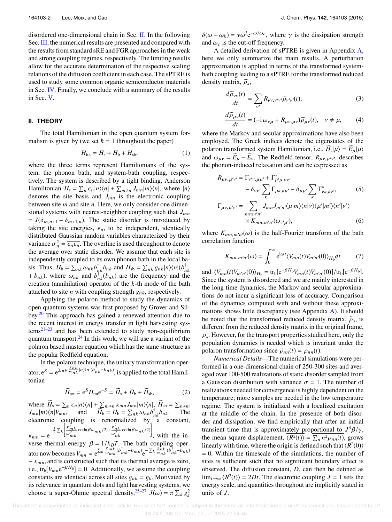disordered one-dimensional chain in Sec. [II.](#page-2-0) In the following Sec. [III,](#page-2-1) the numerical results are presented and compared with the results from standard sRE and FGR approaches in the weak and strong coupling regimes, respectively. The limiting results allow for the accurate determination of the respective scaling relations of the diffusion coefficient in each case. The sPTRE is used to study some common organic semiconductor materials in Sec. [IV.](#page-4-0) Finally, we conclude with a summary of the results in Sec. [V.](#page-4-1)

#### <span id="page-2-0"></span>**II. THEORY**

The total Hamiltonian in the open quantum system formalism is given by (we set  $\hbar = 1$  throughout the paper)

$$
H_{\text{tot}} = H_{\text{s}} + H_{\text{b}} + H_{\text{sb}},\tag{1}
$$

where the three terms represent Hamiltonians of the system, the phonon bath, and system-bath coupling, respectively. The system is described by a tight binding, Anderson Hamiltonian  $H_s = \sum_{n \in \mathbb{N}} \epsilon_n |n\rangle\langle n| + \sum_{m \neq n} J_{mn} |m\rangle\langle n|$ , where  $|n\rangle$ denotes the site basis and  $J_{mn}$  is the electronic coupling between site *m* and site *n*. Here, we only consider one dimensional systems with nearest-neighbor coupling such that  $J_{mn}$  $= J(\delta_{m,n+1} + \delta_{m+1,n})$ . The static disorder is introduced by taking the site energies,  $\epsilon_n$ , to be independent, identically distributed Gaussian random variables characterized by their variance  $\sigma_n^2 = \overline{\epsilon_n \epsilon_n}$ . The overline is used throughout to denote the average over static disorder. We assume that each site is the average over static disorder. We assume that each site is independently coupled to its own phonon bath in the local basis. Thus,  $H_b = \sum_{nk} \omega_{nk} b_{nk}^{\dagger} b_{nk}$  and  $H_{sb} = \sum_{nk} g_{nk} |n\rangle\langle n| (b_{nk}^{\dagger})$  $h_{nk}$ , where  $\omega_{nk}$  and  $b_{nk}^{\dagger}$   $(b_{nk})$  are the frequency and the creation (annihilation) operator of the *k*-th mode of the bath creation (annihilation) operator of the *k*-th mode of the bath attached to site *n* with coupling strength  $g_{nk}$ , respectively.

Applying the polaron method to study the dynamics of open quantum systems was first proposed by Grover and Silbey.[20](#page-7-7) This approach has gained a renewed attention due to the recent interest in energy transfer in light harvesting sys- $tems^{21-23}$  $tems^{21-23}$  $tems^{21-23}$  and has been extended to study non-equilibrium quantum transport. $^{24}$  $^{24}$  $^{24}$  In this work, we will use a variant of the polaron based master equation which has the same structure as the popular Redfield equation.

In the polaron technique, the unitary transformation operator,  $e^S = e^{\sum_{nk} \frac{g_{nk}}{\omega_{nk}} |n\rangle\langle n|(b_{nk}^{\dagger}-b_{nk})}$ , is applied to the total Hamiltonian

$$
\widetilde{H}_{\text{tot}} = e^S H_{\text{tot}} e^{-S} = \widetilde{H}_s + \widetilde{H}_b + \widetilde{H}_{\text{sb}},\tag{2}
$$

where  $\widetilde{H}_s = \sum_n \epsilon_n |n\rangle\langle n| + \sum_{m \neq n} \kappa_{mn} J_{mn} |m\rangle\langle n|, \widetilde{H}_{sb} = \sum_{n \neq m} \kappa_{mn} J_{mn} |m\rangle\langle n|, \widetilde{H}_{sb} = \sum_{n \neq m} \kappa_{mn} J_{mn} |m\rangle\langle n|, \widetilde{H}_{sb} = \sum_{n \neq m} \kappa_{mn} J_{mn} |m\rangle\langle n|, \widetilde{H}_{sb} = \sum_{n \neq m} \kappa_{mn} J_{mn} |m\rangle\langle n|, \widetilde{H}_{sb} =$  $J_{mn}|m\rangle\langle n|V_{mn}$ , and  $H_b = H_b = \sum_{nk} \omega_{nk} b_{nk}^{\dagger} b_{nk}$ . The electronic coupling is renormalized by a constant,  $\kappa_{mn} = e^{-\frac{1}{2}\sum_k}$ <br>verse therma  $\left[\frac{g_{mk}^2}{\omega_{mk}^2}\coth(\beta\omega_{mk}/2)+\frac{g_{nk}^2}{\omega_{nk}^2}\coth(\beta\omega_{nk}/2)\right]$  $\int_{\text{equation}}^{\text{u}}$  with the in-

verse thermal energy  $\beta = 1/k_BT$ . The bath coupling operator now becomes  $V_{mn} = e^{\sum_k \frac{g_{mk}}{\omega_{mk}} (b_{mk}^\dagger - b_{mk})} e^{-\sum_k \frac{g_{nk}^\dagger}{\omega_{nk}} (b_{nk}^\dagger - b_{nk})}$  $- \kappa_{mn}$ , and is constructed such that its thermal average is zero, i.e., tr<sub>b</sub>[ $V_{mn}e^{-\beta H_b}$ ] = 0. Additionally, we assume the coupling constants are identical across all sites  $g_{nk} = g_k$ . Motivated by its relevance in quantum dots and light harvesting systems, we choose a super-Ohmic spectral density,<sup>[25](#page-7-11)[–27](#page-7-12)</sup>  $J(\omega) = \pi \sum_k g_k^2$ 

 $\delta(\omega - \omega_k) = \gamma \omega^3 e^{-\omega/\omega_c}$ , where  $\gamma$  is the dissipation strength and  $\omega_c$  is the cut-off frequency.

A detailed derivation of sPTRE is given in Appendix [A,](#page-5-0) here we only summarize the main results. A perturbation approximation is applied in terms of the transformed systembath coupling leading to a sPTRE for the transformed reduced density matrix,  $\tilde{\rho}_s$ ,

$$
\frac{d\widetilde{\rho}_{\nu\nu}(t)}{dt} = \sum_{\nu'} R_{\nu\nu,\nu'\nu'} \widetilde{\rho}_{\nu'\nu'}(t),\tag{3}
$$
\n
$$
\frac{d\widetilde{\rho}_{\mu\nu}(t)}{dt} = (-i\,\omega_{\nu\mu} + R_{\mu\nu,\mu\nu}) \widetilde{\rho}_{\mu\nu}(t), \quad \nu \neq \mu,\tag{4}
$$

*dt* where the Markov and secular approximations have also been

employed. The Greek indices denote the eigenstates of the polaron transformed system Hamiltonian, i.e.,  $\widetilde{H}_s|\mu\rangle = \widetilde{E}_{\mu}|\mu\rangle$ <br>and  $\omega = \widetilde{F} - \widetilde{F}$ . The Redfield tensor  $R$ .  $\omega$  describes and  $\omega_{\mu\nu} = \widetilde{E}_{\mu} - \widetilde{E}_{\nu}$ . The Redfield tensor,  $R_{\mu\nu,\mu'\nu'}$ , describes the phonon-induced relaxation and can be expressed as the phonon-induced relaxation and can be expressed as

$$
R_{\mu\nu,\mu'\nu'} = \Gamma_{\nu'\nu,\mu\mu'} + \Gamma_{\mu'\mu,\nu\nu'}^*
$$
  
\n
$$
- \delta_{\nu\nu'} \sum_{\kappa} \Gamma_{\mu\kappa,\kappa\mu'} - \delta_{\mu\mu'} \sum_{\kappa} \Gamma_{\nu\kappa,\kappa\nu'}^*
$$
  
\n
$$
\Gamma_{\mu\nu,\mu'\nu'} = \sum_{\substack{mnm'n'\\ \kappa}} J_{mn} J_{m'n'} \langle \mu | m \rangle \langle n | \nu \rangle \langle \mu' | m' \rangle \langle n' | \nu' \rangle
$$
  
\n
$$
\times K_{mn,m'n'}(\omega_{\nu'\mu'}), \tag{6}
$$

where  $K_{mn,m'n'}(\omega)$  is the half-Fourier transform of the bath correlation function correlation function

<span id="page-2-2"></span>
$$
K_{mn,m'n'}(\omega) = \int_0^\infty e^{i\omega t} \langle V_{mn}(t) V_{m'n'}(0) \rangle_{H_b} dt \tag{7}
$$

and  $\langle V_{mn}(t)V_{m'n'}(0)\rangle_{H_b} = \text{tr}_b[e^{-\beta H_b}V_{mn}(t)V_{m'n'}(0)]/\text{tr}_b[e^{-\beta H_b}].$ <br>Since the system is disordered and we are mainly interested in Since the system is disordered and we are mainly interested in the long time dynamics, the Markov and secular approximations do not incur a significant loss of accuracy. Comparison of the dynamics computed with and without these approximations shows little discrepancy (see Appendix [A\)](#page-5-0). It should be noted that the transformed reduced density matrix,  $\tilde{\rho}_s$ , is different from the reduced density matrix in the original frame,  $\rho_s$ . However, for the transport properties studied here, only the population dynamics is needed which is invariant under the polaron transformation since  $\tilde{\rho}_{nn}(t) = \rho_{nn}(t)$ .

<span id="page-2-1"></span>*Numerical Details*—The numerical simulations were performed in a one-dimensional chain of 250-300 sites and averaged over 100-500 realizations of static disorder sampled from a Gaussian distribution with variance  $\sigma = 1$ . The number of realizations needed for convergence is highly dependent on the temperature; more samples are needed in the low temperature regime. The system is initialized with a localized excitation at the middle of the chain. In the presence of both disorder and dissipation, we find empirically that after an initial transient time that is approximately proportional to  $J^3\beta/\gamma$ ,<br>the mean square displacement  $\sqrt{P^{2}(t)} = \sum n^2 \omega(t)$  grows the mean square displacement,  $\langle R^2(t) \rangle = \sum_n n^2 \rho_{nn}(t)$ , grows<br>linearly with time, where the origin is defined such that  $\langle R^2(0) \rangle$ linearly with time, where the origin is defined such that  $\langle R^2(0) \rangle$  $= 0$ . Within the timescale of the simulations, the number of sites is sufficient such that no significant boundary effect is observed. The diffusion constant, *D*, can then be defined as  $\lim_{t\to\infty} \overline{\langle R^2(t)\rangle} = 2Dt$ . The electronic coupling  $J = 1$  sets the energy scale, and quantities throughout are implicitly stated in units of *J*.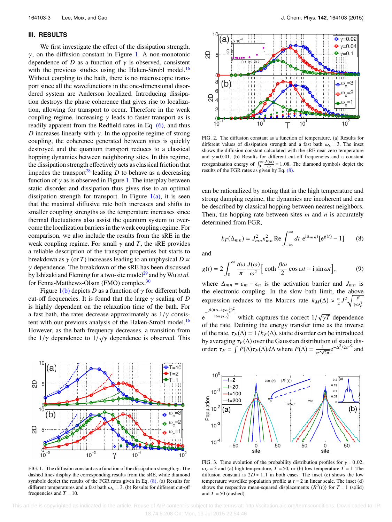#### **III. RESULTS**

We first investigate the effect of the dissipation strength,  $γ$ , on the diffusion constant in Figure [1.](#page-3-0) A non-monotonic dependence of *D* as a function of  $\gamma$  is observed, consistent with the previous studies using the Haken-Strobl model.<sup>[16](#page-7-3)</sup> Without coupling to the bath, there is no macroscopic transport since all the wavefunctions in the one-dimensional disordered system are Anderson localized. Introducing dissipation destroys the phase coherence that gives rise to localization, allowing for transport to occur. Therefore in the weak coupling regime, increasing  $\gamma$  leads to faster transport as is readily apparent from the Redfield rates in Eq. [\(6\),](#page-2-2) and thus *D* increases linearly with  $\gamma$ . In the opposite regime of strong coupling, the coherence generated between sites is quickly destroyed and the quantum transport reduces to a classical hopping dynamics between neighboring sites. In this regime, the dissipation strength effectively acts as classical friction that impedes the transport<sup>[28](#page-7-13)</sup> leading  $D$  to behave as a decreasing function of  $\gamma$  as is observed in Figure [1.](#page-3-0) The interplay between static disorder and dissipation thus gives rise to an optimal dissipation strength for transport. In Figure  $1(a)$ , it is seen that the maximal diffusive rate both increases and shifts to smaller coupling strengths as the temperature increases since thermal fluctuations also assist the quantum system to overcome the localization barriers in the weak coupling regime. For comparison, we also include the results from the sRE in the weak coupling regime. For small  $\gamma$  and *T*, the sRE provides a reliable description of the transport properties but starts to breakdown as  $\gamma$  (or *T*) increases leading to an unphysical  $D \propto \mathbb{R}$  $\gamma$  dependence. The breakdown of the sRE has been discussed by Ishizaki and Fleming for a two-site model<sup>[29](#page-7-14)</sup> and by Wu *et al.* for Fenna-Matthews-Olson (FMO) complex.<sup>[30](#page-7-15)</sup>

Figure  $1(b)$  depicts *D* as a function of  $\gamma$  for different bath cut-off frequencies. It is found that the large γ scaling of *<sup>D</sup>* is highly dependent on the relaxation time of the bath. For a fast bath, the rates decrease approximately as  $1/\gamma$  consis-tent with our previous analysis of the Haken-Strobl model.<sup>[16](#page-7-3)</sup> However, as the bath frequency decreases, a transition from the  $1/\gamma$  dependence to  $1/\sqrt{\gamma}$  dependence is observed. This

a

 $\mathsf{b}$ 

<span id="page-3-0"></span><u>ရ</u>

2D

 $10$ 



 $\gamma$ 

 $10$ 

 $10^{-2}$ 

<span id="page-3-2"></span>

FIG. 2. The diffusion constant as a function of temperature. (a) Results for different values of dissipation strength and a fast bath  $\omega_c = 3$ . The inset shows the diffusion constant calculated with the sRE near zero temperature and  $\gamma = 0.01$ . (b) Results for different cut-off frequencies and a constant reorganization energy of  $\int_0^\infty \frac{J(\omega)}{\omega} = 1.08$ . The diamond symbols depict the results of the FGR rates as given by Eq. [\(8\).](#page-3-1)

can be rationalized by noting that in the high temperature and strong damping regime, the dynamics are incoherent and can be described by classical hopping between nearest neighbors. Then, the hopping rate between sites *m* and *n* is accurately determined from FGR,

<span id="page-3-1"></span>
$$
k_F(\Delta_{mn}) = J_{mn}^2 \kappa_{mn}^2 \operatorname{Re} \int_{-\infty}^{\infty} dt \ e^{i\Delta_{mn}t} [e^{g(t)} - 1] \qquad (8)
$$

and

$$
g(t) = 2 \int_0^\infty \frac{d\omega}{\pi} \frac{J(\omega)}{\omega^2} \left[ \coth \frac{\beta \omega}{2} \cos \omega t - i \sin \omega t \right],\tag{9}
$$

where  $\Delta_{mn} = \epsilon_m - \epsilon_n$  is the activation barrier and *J<sub>mn</sub>* is<br>the electronic coupling. In the slow bath limit, the above the electronic coupling. In the slow bath limit, the above expression reduces to the Marcus rate  $k_M(\Delta) \approx \frac{\pi}{2} J^2 \sqrt{\frac{\beta}{\gamma \omega}}$  $\overline{\gamma\omega_c^3}$ 

 $e^{-\frac{\beta(\pi\Delta-4\gamma\omega_c^3)^2}{16\pi\gamma\omega_c^3}}$  $\frac{\pi \Delta - 4\gamma \omega_c^3}{16\pi \gamma \omega_c^3}$  which captures the correct  $1/\sqrt{\gamma T}$  dependence of the rate. Defining the energy transfer time as the inverse of the rate,  $\tau_F(\Delta) = 1/k_F(\Delta)$ , static disorder can be introduced by averaging  $\tau_F(\Delta)$  over the Gaussian distribution of static dis-<br>order:  $\overline{\tau}_2 = \int P(\Delta)\tau_2(\Delta)d\Delta$  where  $P(\Delta) = \frac{1}{\pi}e^{-\Delta^2/2\sigma^2}$  and order:  $\overline{\tau_F} = \int P(\Delta) \tau_F(\Delta) d\Delta$  where  $P(\Delta) = \frac{1}{\sigma \sqrt{2\pi}} e^{-\Delta^2/2\sigma^2/2}$  and

<span id="page-3-3"></span>

FIG. 3. Time evolution of the probability distribution profiles for  $\gamma = 0.02$ ,  $\omega_c$  = 3 and (a) high temperature, T = 50, or (b) low temperature T = 1. The diffusion constant is  $2D \approx 1.1$  in both cases. The inset (c) shows the low temperature wavelike population profile at  $t = 2$  in linear scale. The inset (d) shows the respective mean-squared displacements  $\langle R^2(t) \rangle$  for  $T = 1$  (solid) and  $T = 50$  (dashed).

 This article is copyrighted as indicated in the article. Reuse of AIP content is subject to the terms at: http://scitation.aip.org/termsconditions. Downloaded to IP: 18.74.5.208 On: Mon, 13 Jul 2015 22:54:46

 $+T=10$ 

 $eT=2$ 

 $\overline{+}$ 

 $\omega_c$ 

 $\omega_c$ =

 $10$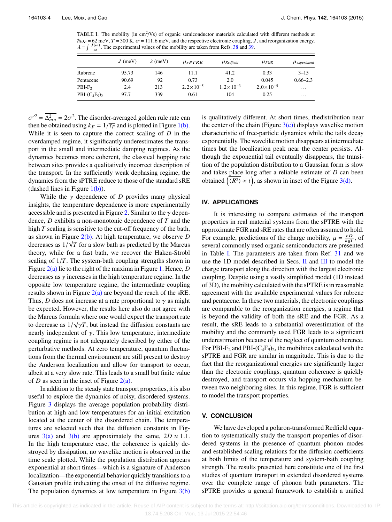<span id="page-4-2"></span>TABLE I. The mobility (in cm<sup>2</sup>/Vs) of organic semiconductor materials calculated with different methods at  $\hbar\omega_c = 62$  meV,  $T = 300$  K,  $\sigma = 111.6$  meV, and the respective electronic coupling, J, and reorganization energy,  $\lambda = \int \frac{J(\omega)}{\omega}$ . The experimental values of the mobility are taken from Refs. [38](#page-7-16) and [39.](#page-7-17)

|                | $J$ (meV) | $\lambda$ (meV) | $\mu_{sPTRE}$        | $\mu$ Redfield       | $\mu_{FGR}$          | $\mu$ <sub>experiment</sub> |
|----------------|-----------|-----------------|----------------------|----------------------|----------------------|-----------------------------|
| Rubrene        | 95.73     | 146             | 11.1                 | 41.2                 | 0.33                 | $3 - 15$                    |
| Pentacene      | 90.69     | 92              | 0.73                 | 2.0                  | 0.045                | $0.66 - 2.3$                |
| $PBI-F2$       | 2.4       | 213             | $2.2 \times 10^{-5}$ | $1.2 \times 10^{-3}$ | $2.0 \times 10^{-5}$ | $\cdots$                    |
| $PBI-(C_4F_9)$ | 97.7      | 339             | 0.61                 | 104                  | 0.25                 | $\cdots$                    |

then be obtained using  $\overline{k_F} = 1/\overline{\tau_F}$  and is plotted in Figure [1\(b\).](#page-3-0)<br>While it is seen to capture the correct scaling of D in the  $\alpha^2 = \overline{\Delta_{mn}^2} = 2\sigma^2$ . The disorder-averaged golden rule rate can<br>en be obtained using  $\overline{k_0} = 1/\overline{\tau_0}$  and is plotted in Figure 1(b) While it is seen to capture the correct scaling of *D* in the overdamped regime, it significantly underestimates the transport in the small and intermediate damping regimes. As the dynamics becomes more coherent, the classical hopping rate between sites provides a qualitatively incorrect description of the transport. In the sufficiently weak dephasing regime, the dynamics from the sPTRE reduce to those of the standard sRE (dashed lines in Figure  $1(b)$ ).

While the  $\gamma$  dependence of *D* provides many physical insights, the temperature dependence is more experimentally accessible and is presented in Figure [2.](#page-3-2) Similar to the  $\gamma$  dependence, *D* exhibits a non-monotonic dependence of *T* and the high *T* scaling is sensitive to the cut-off frequency of the bath, as shown in Figure [2\(b\).](#page-3-2) At high temperature, we observe *D* decreases as  $1/\sqrt{T}$  for a slow bath as predicted by the Marcus<br>theory, while for a fast hath, we recover the Haken-Stroble theory, while for a fast bath, we recover the Haken-Strobl scaling of 1/*T*. The system-bath coupling strengths shown in Figure [2\(a\)](#page-3-2) lie to the right of the maxima in Figure [1.](#page-3-0) Hence, *D* decreases as  $\gamma$  increases in the high temperature regime. In the opposite low temperature regime, the intermediate coupling results shown in Figure  $2(a)$  are beyond the reach of the sRE. Thus, *D* does not increase at a rate proportional to  $\gamma$  as might be expected. However, the results here also do not agree with the Marcus formula where one would expect the transport rate to decrease as  $1/\sqrt{\gamma T}$ , but instead the diffusion constants are<br>nearly independent of  $\gamma$ . This low temperature, intermediate nearly independent of  $γ$ . This low temperature, intermediate coupling regime is not adequately described by either of the perturbative methods. At zero temperature, quantum fluctuations from the thermal environment are still present to destroy the Anderson localization and allow for transport to occur, albeit at a very slow rate. This leads to a small but finite value of *D* as seen in the inset of Figure  $2(a)$ .

In addition to the steady state transport properties, it is also useful to explore the dynamics of noisy, disordered systems. Figure [3](#page-3-3) displays the average population probability distribution at high and low temperatures for an initial excitation located at the center of the disordered chain. The temperatures are selected such that the diffusion constants in Figures  $3(a)$  and  $3(b)$  are approximately the same,  $2D \approx 1.1$ . In the high temperature case, the coherence is quickly destroyed by dissipation, no wavelike motion is observed in the time scale plotted. While the population distribution appears exponential at short times—which is a signature of Anderson localization—the exponential behavior quickly transitions to a Gaussian profile indicating the onset of the diffusive regime. The population dynamics at low temperature in Figure  $3(b)$ 

is qualitatively different. At short times, thedistribution near the center of the chain (Figure  $3(c)$ ) displays wavelike motion characteristic of free-particle dynamics while the tails decay exponentially. The wavelike motion disappears at intermediate times but the localization peak near the center persists. Although the exponential tail eventually disappears, the transition of the population distribution to a Gaussian form is slow and takes place long after a reliable estimate of *D* can been obtained  $(\overline{\langle R^2 \rangle} \propto t)$ , as shown in inset of the Figure [3\(d\).](#page-3-3)

#### <span id="page-4-0"></span>**IV. APPLICATIONS**

It is interesting to compare estimates of the transport properties in real material systems from the sPTRE with the approximate FGR and sRE rates that are often assumed to hold. For example, predictions of the charge mobility,  $\mu = \frac{eD}{k_B T}$ , of several commonly used organic semiconductors are presented several commonly used organic semiconductors are presented in Table [I.](#page-4-2) The parameters are taken from Ref. [31](#page-7-18) and we use the 1D model described in Secs. [II](#page-2-0) and [III](#page-2-1) to model the charge transport along the direction with the largest electronic coupling. Despite using a vastly simplified model (1D instead of 3D), the mobility calculated with the sPTRE is in reasonable agreement with the available experimental values for rubrene and pentacene. In these two materials, the electronic couplings are comparable to the reorganization energies, a regime that is beyond the validity of both the sRE and the FGR. As a result, the sRE leads to a substantial overestimation of the mobility and the commonly used FGR leads to a significant underestimation because of the neglect of quantum coherence. For PBI-F<sub>2</sub> and PBI- $(C_4F_9)_2$ , the mobilities calculated with the sPTRE and FGR are similar in magnitude. This is due to the fact that the reorganizational energies are significantly larger than the electronic couplings, quantum coherence is quickly destroyed, and transport occurs via hopping mechanism between two neighboring sites. In this regime, FGR is sufficient to model the transport properties.

#### <span id="page-4-1"></span>**V. CONCLUSION**

We have developed a polaron-transformed Redfield equation to systematically study the transport properties of disordered systems in the presence of quantum phonon modes and established scaling relations for the diffusion coefficients at both limits of the temperature and system-bath coupling strength. The results presented here constitute one of the first studies of quantum transport in extended disordered systems over the complete range of phonon bath parameters. The sPTRE provides a general framework to establish a unified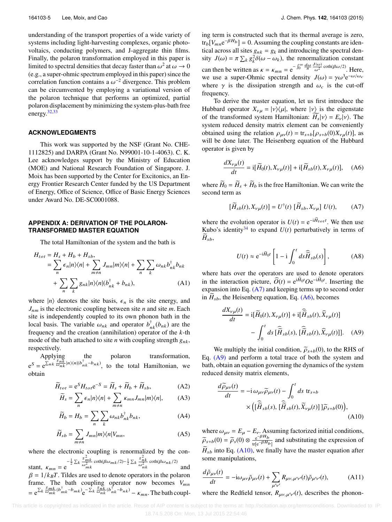understanding of the transport properties of a wide variety of systems including light-harvesting complexes, organic photovoltaics, conducting polymers, and J-aggregate thin films. Finally, the polaron transformation employed in this paper is limited to spectral densities that decay faster than  $\omega^2$  at  $\omega \to 0$ <br>(e.g., a super-obmic spectrum employed in this paper) since the (e.g., a super-ohmic spectrum employed in this paper) since the correlation function contains a  $\omega^{-2}$  divergence. This problem<br>can be circumvented by employing a variational version of can be circumvented by employing a variational version of the polaron technique that performs an optimized, partial polaron displacement by minimizing the system-plus-bath free energy.<sup>[32](#page-7-19)[,33](#page-7-20)</sup>

#### **ACKNOWLEDGMENTS**

This work was supported by the NSF (Grant No. CHE-1112825) and DARPA (Grant No. N99001-10-1-4063). C. K. Lee acknowledges support by the Ministry of Education (MOE) and National Research Foundation of Singapore. J. Moix has been supported by the Center for Excitonics, an Energy Frontier Research Center funded by the US Department of Energy, Office of Science, Office of Basic Energy Sciences under Award No. DE-SC0001088.

### <span id="page-5-0"></span>**APPENDIX A: DERIVATION OF THE POLARON-TRANSFORMED MASTER EQUATION**

The total Hamiltonian of the system and the bath is

$$
H_{tot} = H_s + H_b + H_{sb},
$$
  
=  $\sum_{n} \epsilon_n |n\rangle\langle n| + \sum_{m \neq n} J_{mn} |m\rangle\langle n| + \sum_{n} \sum_{k} \omega_{nk} b_{nk}^{\dagger} b_{nk}$   
+  $\sum_{n} \sum_{k} g_{nk} |n\rangle\langle n| (b_{nk}^{\dagger} + b_{nk}),$  (A1)

where  $|n\rangle$  denotes the site basis,  $\epsilon_n$  is the site energy, and *J*nm is the electronic coupling between site *n* and site *m*. Each site is independently coupled to its own phonon bath in the local basis. The variable  $\omega_{nk}$  and operator  $b_{nk}^{\dagger}(b_{nk})$  are the frequency and the creation (annihilation) operator of the *k*-th frequency and the creation (annihilation) operator of the *k*-th mode of the bath attached to site *n* with coupling strength  $g_{nk}$ , respectively.

Applying the polaron transformation,  $e^S = e^{\sum_{nk} \frac{g_{nk}}{\omega_{nk}}|n\rangle\langle n|(b_{nk}^{\dagger}-b_{nk})}$ , to the total Hamiltonian, we obtain

$$
\widetilde{H}_{tot} = e^{S} H_{tot} e^{-S} = \widetilde{H}_s + \widetilde{H}_b + \widetilde{H}_{sb},
$$
\n(A2)

$$
\widetilde{H}_s = \sum_n \epsilon_n |n\rangle\langle n| + \sum_{m \neq n} \kappa_{mn} J_{mn} |m\rangle\langle n|, \tag{A3}
$$

$$
\widetilde{H}_b = H_b = \sum_n \sum_k \omega_{nk} b_{nk}^\dagger b_{nk},\tag{A4}
$$

$$
\widetilde{H}_{sb} = \sum_{m \neq n} J_{mn} |m\rangle\langle n|V_{mn},\tag{A5}
$$

where the electronic coupling is renormalized by the constant,  $\kappa_{mn} = e^{-\frac{1}{2} \sum_{k} \frac{g_{nk}^2}{\omega_{mk}^2} \coth(\beta \omega_{mk}/2) - \frac{1}{2} \sum_{k} \frac{g_{nk}^2}{\omega_{nk}^2} \coth(\beta \omega_{nk}/2)}$  and  $\beta = 1/k nT$ . Tildes are used to denote operators in the polaron  $\beta = 1/k_B T$ . Tildes are used to denote operators in the polaron frame. The bath coupling operator now becomes  $V_{mn}$  $= e^{\sum_k \frac{g_{mk}}{\omega_{mk}}(b_{mk}^\dagger - b_{mk})}e^{-\sum_k \frac{g_{nk}}{\omega_{nk}}(b_{nk}^\dagger - b_{nk})} - \kappa_{mn}$ . The bath coupling term is constructed such that its thermal average is zero,  $tr_b[V_{mn}e^{-\beta H_b}] = 0$ . Assuming the coupling constants are identical across all sites  $g_{nk} = g_k$  and introducing the spectral den-<br>sity  $I(\omega) = \pi \sum_{k=0}^{\infty} a^2 \delta(\omega - \omega_k)$  the renormalization constant sity  $J(\omega) = \pi \sum_k g_k^2 \delta(\omega - \omega_k)$ , the renormalization constant k g can then be written as  $\kappa = \kappa_{mn} = e^{-\int_0^\infty \frac{d\omega}{\pi} \frac{J(\omega)}{\omega^2} \coth(\beta \omega/2)}$ . Here, we use a super-Ohmic spectral density  $J(\omega) = \gamma \omega^3 e^{-\omega/\omega_c}$ <br>where  $\gamma$  is the dissination strength and  $\omega$  is the cut-off where  $\gamma$  is the dissipation strength and  $\omega_c$  is the cut-off frequency.

To derive the master equation, let us first introduce the Hubbard operator  $X_{\nu\mu} = |\nu\rangle\langle \mu|$ , where  $|\nu\rangle$  is the eigenstate of the transformed system Hamiltonian:  $H_s|\nu\rangle = E_{\nu}|\nu\rangle$ . The system reduced density matrix element can be conveniently obtained using the relation  $\rho_{\mu\nu}(t) = \text{tr}_{s+b}[\rho_{s+b}(0)X_{\nu\mu}(t)],$  as will be done later. The Heisenberg equation of the Hubbard operator is given by

<span id="page-5-2"></span>
$$
\frac{dX_{\nu\mu}(t)}{dt} = \mathbf{i}[\widetilde{H}_0(t), X_{\nu\mu}(t)] + \mathbf{i}[\widetilde{H}_{sb}(t), X_{\nu\mu}(t)], \quad \text{(A6)}
$$

where  $\widetilde{H}_0 = \widetilde{H}_s + \widetilde{H}_b$  is the free Hamiltonian. We can write the second term as

$$
[\widetilde{H}_{sb}(t), X_{\nu\mu}(t)] = U^{\dagger}(t) [\widetilde{H}_{sb}, X_{\nu\mu}] U(t), \qquad (A7)
$$

where the evolution operator is  $U(t) = e^{-i\tilde{H}_{tot}t}$ . We then use Kubo's identity<sup>[34](#page-7-21)</sup> to expand  $U(t)$  perturbatively in terms of  $H_{sb}$ ,

<span id="page-5-1"></span>
$$
U(t) \approx e^{-i\widetilde{H}_0 t} \left[ 1 - i \int_0^t ds \widehat{H}_{sb}(s) \right],
$$
 (A8)

where hats over the operators are used to denote operators in the interaction picture,  $\hat{O}(t) = e^{i\tilde{H}_0 t} O e^{-i\tilde{H}_0 t}$ . Inserting the expansion into Eq. [\(A7\)](#page-5-1) and keeping terms up to second order in  $H_{sb}$ , the Heisenberg equation, Eq.  $(A6)$ , becomes

<span id="page-5-3"></span>
$$
\frac{dX_{\nu\mu}(t)}{dt} = \mathbf{i}[\widetilde{H}_0(t), X_{\nu\mu}(t)] + \mathbf{i}[\widehat{\widetilde{H}}_{sb}(t), \widehat{X}_{\nu\mu}(t)] - \int_0^t ds \, [\widehat{\widetilde{H}}_{sb}(s), [\widehat{\widetilde{H}}_{sb}(t), \widehat{X}_{\nu\mu}(t)]]. \tag{A9}
$$

We multiply the initial condition,  $\tilde{\rho}_{s+b}(0)$ , to the RHS of Eq. [\(A9\)](#page-5-3) and perform a total trace of both the system and bath, obtain an equation governing the dynamics of the system reduced density matrix elements,

<span id="page-5-4"></span>
$$
\frac{d\widetilde{\rho}_{\mu\nu}(t)}{dt} = -i \,\omega_{\mu\nu}\widetilde{\rho}_{\mu\nu}(t) - \int_0^t ds \, \text{tr}_{s+b} \times \left( [\widetilde{H}_{sb}(s), [\widetilde{H}_{sb}(t), \widetilde{X}_{\nu\mu}(t)]] \widetilde{\rho}_{s+b}(0) \right),
$$
\n(A10)

where  $\omega_{\mu\nu} = E_{\mu} - E_{\nu}$ . Assuming factorized initial conditions,<br>  $\tilde{\rho}_{s+b}(0) = \tilde{\rho}_s(0) \otimes \frac{e^{-\beta H_b}}{\text{tr}[e^{-\beta H_b}]}$  and substituting the expression of  $H_{sb}$  into Eq. [\(A10\),](#page-5-4) we finally have the master equation after some manipulations,

$$
\frac{d\tilde{\rho}_{\mu\nu}(t)}{dt} = -i\omega_{\mu\nu}\tilde{\rho}_{\mu\nu}(t) + \sum_{\mu'\nu'} R_{\mu\nu,\mu'\nu'}(t)\tilde{\rho}_{\mu'\nu'}(t),\tag{A11}
$$

where the Redfield tensor,  $R_{\mu\nu,\mu'\nu'}(t)$ , describes the phonon-

This article is copyrighted as indicated in the article. Reuse of AIP content is subject to the terms at: http://scitation.aip.org/termsconditions. Downloaded to IP: 18.74.5.208 On: Mon, 13 Jul 2015 22:54:46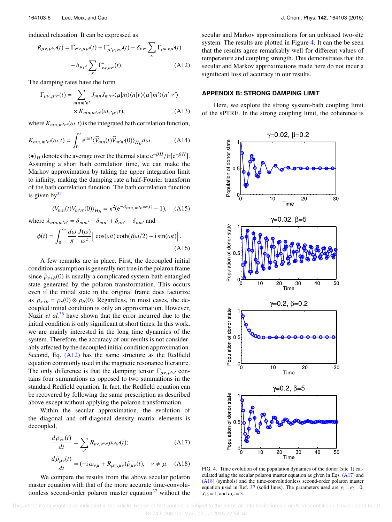induced relaxation. It can be expressed as

$$
R_{\mu\nu,\mu'\nu'}(t) = \Gamma_{\nu'\nu,\mu\mu'}(t) + \Gamma_{\mu'\mu,\nu\nu'}^{*}(t) - \delta_{\nu\nu'} \sum_{\kappa} \Gamma_{\mu\kappa,\kappa\mu'}(t) -\delta_{\mu\mu'} \sum_{\kappa} \Gamma_{\nu\kappa,\kappa\nu'}^{*}(t). \tag{A12}
$$

The damping rates have the form

$$
\Gamma_{\mu\nu,\mu'\nu'}(t) = \sum_{mnm'n'} J_{mn}J_{m'n'}\langle \mu|m\rangle\langle n|\nu\rangle\langle \mu'|m'\rangle\langle n'|\nu'\rangle
$$
  
× $K_{mn,m'n'}(\omega_{\nu'\mu'},t)$ , (A13)

where  $K_{mn,m'n'}(\omega, t)$  is the integrated bath correlation function,

$$
K_{mn,m'n'}(\omega,t) = \int_0^t e^{i\omega t} \langle \widehat{V}_{mn}(t) \widehat{V}_{m'n'}(0) \rangle_{H_b} d\omega.
$$
 (A14)

 $\langle \bullet \rangle_H$  denotes the average over the thermal state  $e^{-\beta H}/tr[e^{-\beta H}]$ .<br>Assuming a short bath correlation time, we can make the Assuming a short bath correlation time, we can make the Markov approximation by taking the upper integration limit to infinity, making the damping rate a half-Fourier transform of the bath correlation function. The bath correlation function is given by $35$ 

$$
\langle V_{mn}(t)V_{m'n'}(0)\rangle_{H_b} = \kappa^2 (e^{-\lambda_{mn,m'n'}\phi(t)} - 1), \quad \text{(A15)}
$$

where  $\lambda_{mn,m'n'} = \delta_{mm'} - \delta_{mn'} + \delta_{nn'} - \delta_{nm'}$  and

$$
\phi(t) = \int_0^\infty \frac{d\omega}{\pi} \frac{J(\omega)}{\omega^2} \left[ \cos(\omega t) \coth(\beta \omega/2) - i \sin(\omega t) \right].
$$
\n(A16)

A few remarks are in place. First, the decoupled initial condition assumption is generally not true in the polaron frame since  $\tilde{\rho}_{s+b}(0)$  is usually a complicated system-bath entangled state generated by the polaron transformation. This occurs even if the initial state in the original frame does factorize as  $\rho_{s+b} = \rho_s(0) \otimes \rho_b(0)$ . Regardless, in most cases, the decoupled initial condition is only an approximation. However, Nazir *et al.*<sup>[36](#page-7-23)</sup> have shown that the error incurred due to the initial condition is only significant at short times. In this work, we are mainly interested in the long time dynamics of the system. Therefore, the accuracy of our results is not considerably affected by the decoupled initial condition approximation. Second, Eq. [\(A12\)](#page-6-0) has the same structure as the Redfield equation commonly used in the magnetic resonance literature. The only difference is that the damping tensor  $\Gamma_{\mu\nu,\mu'\nu'}$  con-<br>teins four summations as appeared to two summations in the tains four summations as opposed to two summations in the standard Redfield equation. In fact, the Redfield equation can be recovered by following the same prescription as described above except without applying the polaron transformation.

Within the secular approximation, the evolution of the diagonal and off-diagonal density matrix elements is decoupled,

$$
\frac{d\tilde{\rho}_{\nu\nu}(t)}{dt} = \sum_{\nu'} R_{\nu\nu,\nu'\nu'} \rho_{\nu'\nu'}(t); \tag{A17}
$$

$$
\frac{d\tilde{\rho}_{\mu\nu}(t)}{dt} = (-i\,\omega_{\nu\mu} + R_{\mu\nu,\,\mu\nu})\tilde{\rho}_{\mu\nu}(t), \quad \nu \neq \mu. \quad \text{(A18)}
$$

We compare the results from the above secular polaron master equation with that of the more accurate time-convolutionless second-order polaron master equation $37$  without the <span id="page-6-0"></span>secular and Markov approximations for an unbiased two-site system. The results are plotted in Figure [4.](#page-6-1) It can the be seen that the results agree remarkably well for different values of temperature and coupling strength. This demonstrates that the secular and Markov approximations made here do not incur a significant loss of accuracy in our results.

#### **APPENDIX B: STRONG DAMPING LIMIT**

Here, we explore the strong system-bath coupling limit of the sPTRE. In the strong coupling limit, the coherence is

<span id="page-6-1"></span>

<span id="page-6-3"></span><span id="page-6-2"></span>FIG. 4. Time evolution of the population dynamics of the donor (site 1) calculated using the secular polaron master equation as given in Eqs. [\(A17\)](#page-6-2) and [\(A18\)](#page-6-3) (symbols) and the time-convolutionless second-order polaron master equation used in Ref. [37](#page-7-24) (solid lines). The parameters used are  $\epsilon_1 = \epsilon_2 = 0$ ,  $J_{12} = 1$ , and  $\omega_c = 3$ .